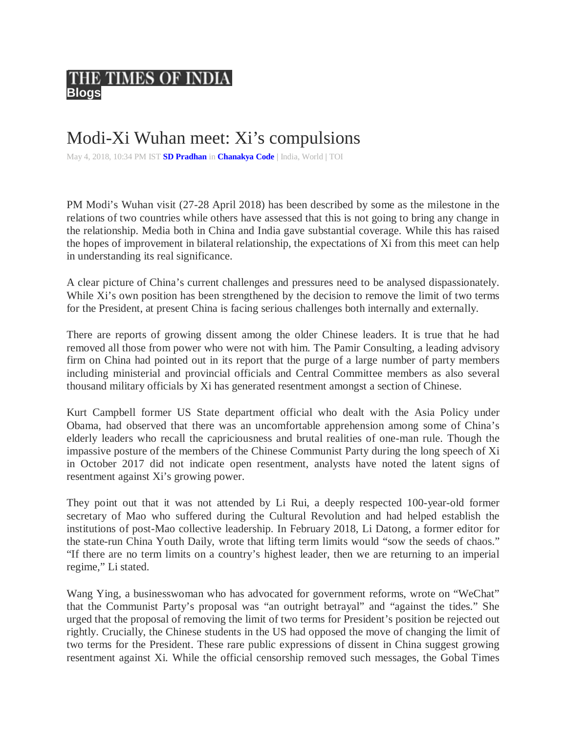## THE TIMES OF INDIA **Blogs**

## Modi-Xi Wuhan meet: Xi's compulsions

May 4, 2018, 10:34 PM IST **SD Pradhan** in **Chanakya Code |** India, World **|** TOI

PM Modi's Wuhan visit (27-28 April 2018) has been described by some as the milestone in the relations of two countries while others have assessed that this is not going to bring any change in the relationship. Media both in China and India gave substantial coverage. While this has raised the hopes of improvement in bilateral relationship, the expectations of Xi from this meet can help in understanding its real significance.

A clear picture of China's current challenges and pressures need to be analysed dispassionately. While Xi's own position has been strengthened by the decision to remove the limit of two terms for the President, at present China is facing serious challenges both internally and externally.

There are reports of growing dissent among the older Chinese leaders. It is true that he had removed all those from power who were not with him. The Pamir Consulting, a leading advisory firm on China had pointed out in its report that the purge of a large number of party members including ministerial and provincial officials and Central Committee members as also several thousand military officials by Xi has generated resentment amongst a section of Chinese.

Kurt Campbell former US State department official who dealt with the Asia Policy under Obama, had observed that there was an uncomfortable apprehension among some of China's elderly leaders who recall the capriciousness and brutal realities of one-man rule. Though the impassive posture of the members of the Chinese Communist Party during the long speech of Xi in October 2017 did not indicate open resentment, analysts have noted the latent signs of resentment against Xi's growing power.

They point out that it was not attended by Li Rui, a deeply respected 100-year-old former secretary of Mao who suffered during the Cultural Revolution and had helped establish the institutions of post-Mao collective leadership. In February 2018, Li Datong, a former editor for the state-run China Youth Daily, wrote that lifting term limits would "sow the seeds of chaos." "If there are no term limits on a country's highest leader, then we are returning to an imperial regime," Li stated.

Wang Ying, a businesswoman who has advocated for government reforms, wrote on "WeChat" that the Communist Party's proposal was "an outright betrayal" and "against the tides." She urged that the proposal of removing the limit of two terms for President's position be rejected out rightly. Crucially, the Chinese students in the US had opposed the move of changing the limit of two terms for the President. These rare public expressions of dissent in China suggest growing resentment against Xi. While the official censorship removed such messages, the Gobal Times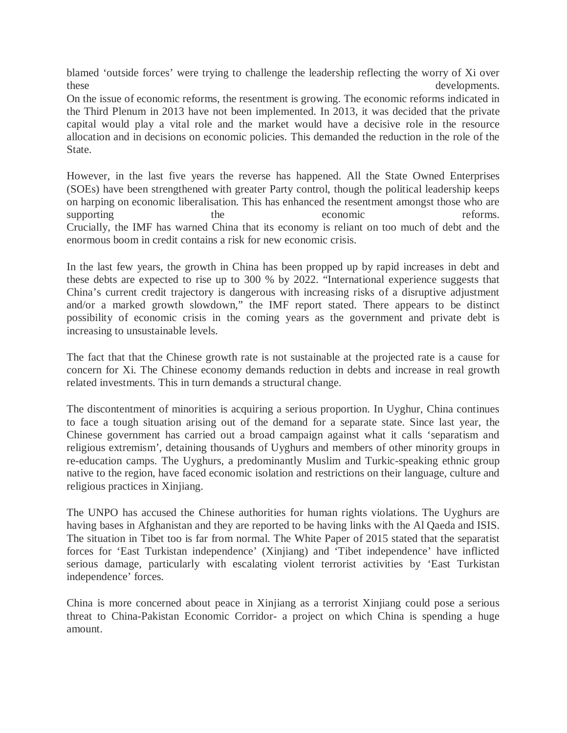blamed 'outside forces' were trying to challenge the leadership reflecting the worry of Xi over these developments.

On the issue of economic reforms, the resentment is growing. The economic reforms indicated in the Third Plenum in 2013 have not been implemented. In 2013, it was decided that the private capital would play a vital role and the market would have a decisive role in the resource allocation and in decisions on economic policies. This demanded the reduction in the role of the State.

However, in the last five years the reverse has happened. All the State Owned Enterprises (SOEs) have been strengthened with greater Party control, though the political leadership keeps on harping on economic liberalisation. This has enhanced the resentment amongst those who are supporting the the economic reforms. Crucially, the IMF has warned China that its economy is reliant on too much of debt and the enormous boom in credit contains a risk for new economic crisis.

In the last few years, the growth in China has been propped up by rapid increases in debt and these debts are expected to rise up to 300 % by 2022. "International experience suggests that China's current credit trajectory is dangerous with increasing risks of a disruptive adjustment and/or a marked growth slowdown," the IMF report stated. There appears to be distinct possibility of economic crisis in the coming years as the government and private debt is increasing to unsustainable levels.

The fact that that the Chinese growth rate is not sustainable at the projected rate is a cause for concern for Xi. The Chinese economy demands reduction in debts and increase in real growth related investments. This in turn demands a structural change.

The discontentment of minorities is acquiring a serious proportion. In Uyghur, China continues to face a tough situation arising out of the demand for a separate state. Since last year, the Chinese government has carried out a broad campaign against what it calls 'separatism and religious extremism', detaining thousands of Uyghurs and members of other minority groups in re-education camps. The Uyghurs, a predominantly Muslim and Turkic-speaking ethnic group native to the region, have faced economic isolation and restrictions on their language, culture and religious practices in Xinjiang.

The UNPO has accused the Chinese authorities for human rights violations. The Uyghurs are having bases in Afghanistan and they are reported to be having links with the Al Qaeda and ISIS. The situation in Tibet too is far from normal. The White Paper of 2015 stated that the separatist forces for 'East Turkistan independence' (Xinjiang) and 'Tibet independence' have inflicted serious damage, particularly with escalating violent terrorist activities by 'East Turkistan independence' forces.

China is more concerned about peace in Xinjiang as a terrorist Xinjiang could pose a serious threat to China-Pakistan Economic Corridor- a project on which China is spending a huge amount.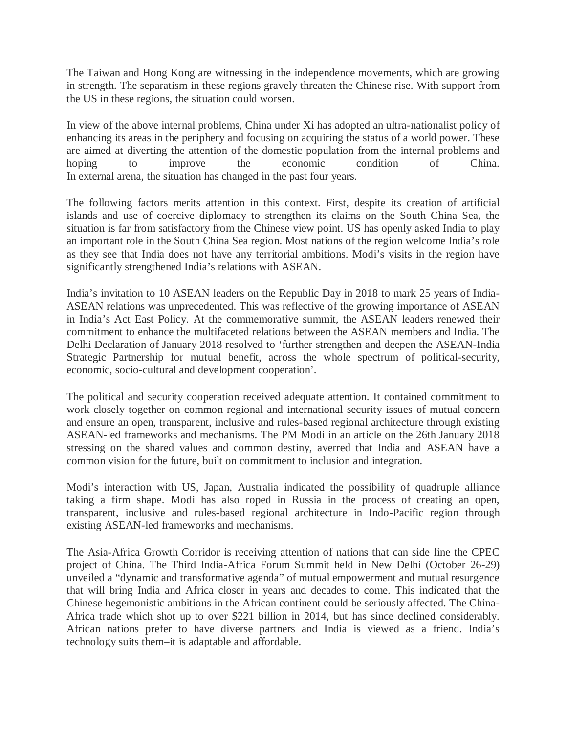The Taiwan and Hong Kong are witnessing in the independence movements, which are growing in strength. The separatism in these regions gravely threaten the Chinese rise. With support from the US in these regions, the situation could worsen.

In view of the above internal problems, China under Xi has adopted an ultra-nationalist policy of enhancing its areas in the periphery and focusing on acquiring the status of a world power. These are aimed at diverting the attention of the domestic population from the internal problems and hoping to improve the economic condition of China. In external arena, the situation has changed in the past four years.

The following factors merits attention in this context. First, despite its creation of artificial islands and use of coercive diplomacy to strengthen its claims on the South China Sea, the situation is far from satisfactory from the Chinese view point. US has openly asked India to play an important role in the South China Sea region. Most nations of the region welcome India's role as they see that India does not have any territorial ambitions. Modi's visits in the region have significantly strengthened India's relations with ASEAN.

India's invitation to 10 ASEAN leaders on the Republic Day in 2018 to mark 25 years of India-ASEAN relations was unprecedented. This was reflective of the growing importance of ASEAN in India's Act East Policy. At the commemorative summit, the ASEAN leaders renewed their commitment to enhance the multifaceted relations between the ASEAN members and India. The Delhi Declaration of January 2018 resolved to 'further strengthen and deepen the ASEAN-India Strategic Partnership for mutual benefit, across the whole spectrum of political-security, economic, socio-cultural and development cooperation'.

The political and security cooperation received adequate attention. It contained commitment to work closely together on common regional and international security issues of mutual concern and ensure an open, transparent, inclusive and rules-based regional architecture through existing ASEAN-led frameworks and mechanisms. The PM Modi in an article on the 26th January 2018 stressing on the shared values and common destiny, averred that India and ASEAN have a common vision for the future, built on commitment to inclusion and integration.

Modi's interaction with US, Japan, Australia indicated the possibility of quadruple alliance taking a firm shape. Modi has also roped in Russia in the process of creating an open, transparent, inclusive and rules-based regional architecture in Indo-Pacific region through existing ASEAN-led frameworks and mechanisms.

The Asia-Africa Growth Corridor is receiving attention of nations that can side line the CPEC project of China. The Third India-Africa Forum Summit held in New Delhi (October 26-29) unveiled a "dynamic and transformative agenda" of mutual empowerment and mutual resurgence that will bring India and Africa closer in years and decades to come. This indicated that the Chinese hegemonistic ambitions in the African continent could be seriously affected. The China-Africa trade which shot up to over \$221 billion in 2014, but has since declined considerably. African nations prefer to have diverse partners and India is viewed as a friend. India's technology suits them–it is adaptable and affordable.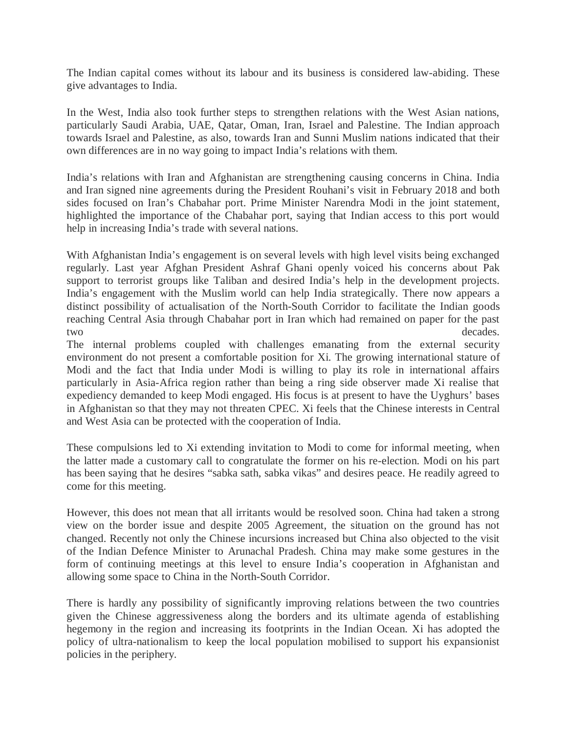The Indian capital comes without its labour and its business is considered law-abiding. These give advantages to India.

In the West, India also took further steps to strengthen relations with the West Asian nations, particularly Saudi Arabia, UAE, Qatar, Oman, Iran, Israel and Palestine. The Indian approach towards Israel and Palestine, as also, towards Iran and Sunni Muslim nations indicated that their own differences are in no way going to impact India's relations with them.

India's relations with Iran and Afghanistan are strengthening causing concerns in China. India and Iran signed nine agreements during the President Rouhani's visit in February 2018 and both sides focused on Iran's Chabahar port. Prime Minister Narendra Modi in the joint statement, highlighted the importance of the Chabahar port, saying that Indian access to this port would help in increasing India's trade with several nations.

With Afghanistan India's engagement is on several levels with high level visits being exchanged regularly. Last year Afghan President Ashraf Ghani openly voiced his concerns about Pak support to terrorist groups like Taliban and desired India's help in the development projects. India's engagement with the Muslim world can help India strategically. There now appears a distinct possibility of actualisation of the North-South Corridor to facilitate the Indian goods reaching Central Asia through Chabahar port in Iran which had remained on paper for the past two decades.

The internal problems coupled with challenges emanating from the external security environment do not present a comfortable position for Xi. The growing international stature of Modi and the fact that India under Modi is willing to play its role in international affairs particularly in Asia-Africa region rather than being a ring side observer made Xi realise that expediency demanded to keep Modi engaged. His focus is at present to have the Uyghurs' bases in Afghanistan so that they may not threaten CPEC. Xi feels that the Chinese interests in Central and West Asia can be protected with the cooperation of India.

These compulsions led to Xi extending invitation to Modi to come for informal meeting, when the latter made a customary call to congratulate the former on his re-election. Modi on his part has been saying that he desires "sabka sath, sabka vikas" and desires peace. He readily agreed to come for this meeting.

However, this does not mean that all irritants would be resolved soon. China had taken a strong view on the border issue and despite 2005 Agreement, the situation on the ground has not changed. Recently not only the Chinese incursions increased but China also objected to the visit of the Indian Defence Minister to Arunachal Pradesh. China may make some gestures in the form of continuing meetings at this level to ensure India's cooperation in Afghanistan and allowing some space to China in the North-South Corridor.

There is hardly any possibility of significantly improving relations between the two countries given the Chinese aggressiveness along the borders and its ultimate agenda of establishing hegemony in the region and increasing its footprints in the Indian Ocean. Xi has adopted the policy of ultra-nationalism to keep the local population mobilised to support his expansionist policies in the periphery.